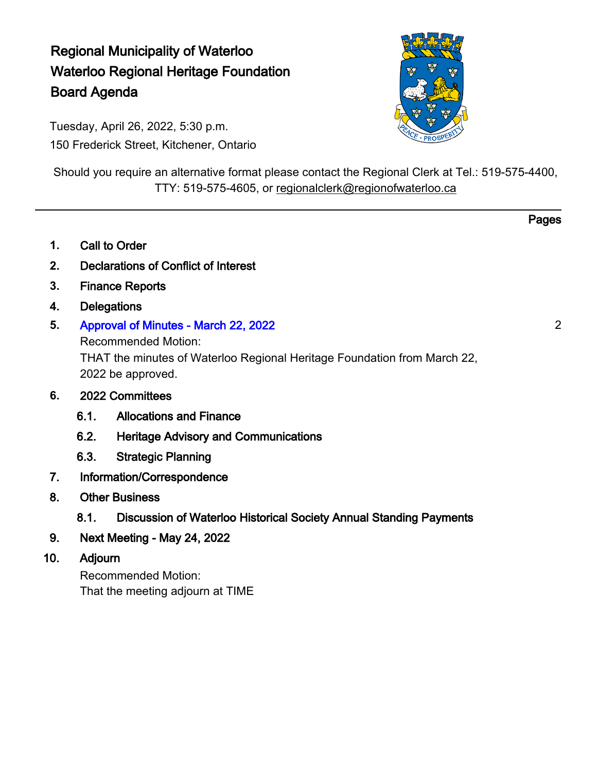# Regional Municipality of Waterloo Waterloo Regional Heritage Foundation Board Agenda

Tuesday, April 26, 2022, 5:30 p.m. 150 Frederick Street, Kitchener, Ontario



Should you require an alternative format please contact the Regional Clerk at Tel.: 519-575-4400, TTY: 519-575-4605, or [regionalclerk@regionofwaterloo.ca](mailto:regionalclerk@regionofwaterloo.ca)

- **1.** Call to Order
- **2.** Declarations of Conflict of Interest
- **3.** Finance Reports
- **4.** Delegations
- **5.** [Approval of Minutes March 22, 2022](#page-1-0)

Recommended Motion: THAT the minutes of Waterloo Regional Heritage Foundation from March 22, 2022 be approved.

- **6.** 2022 Committees
	- 6.1. Allocations and Finance
	- 6.2. Heritage Advisory and Communications
	- 6.3. [Strategic Planning](#page-3-0)
- 7. Information/Correspondence
- 8. Other Business
	- 8.1. Discussion of Waterloo Historical Society Annual Standing Payments
- 9. Next Meeting May 24, 2022
- 10. Adjourn

Recommended Motion: That the meeting adjourn at TIME 2

Pages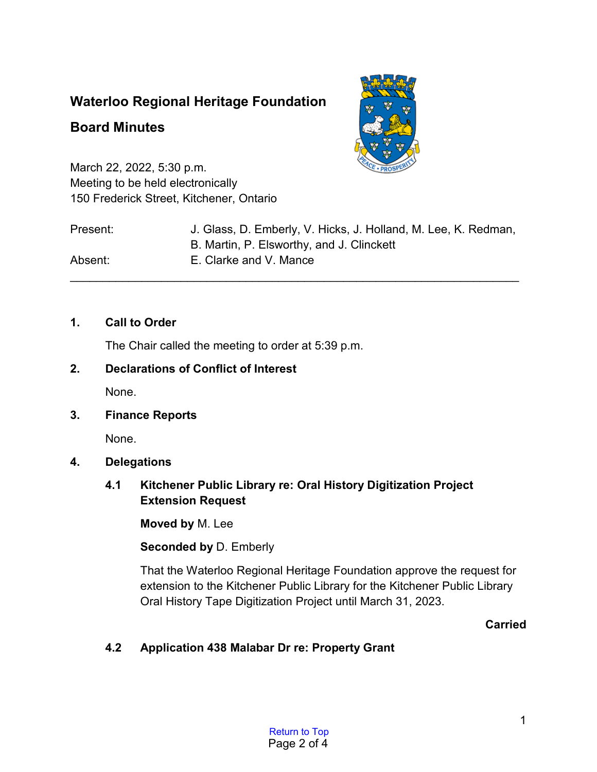## <span id="page-1-0"></span>**Waterloo Regional Heritage Foundation**

## **Board Minutes**



March 22, 2022, 5:30 p.m. Meeting to be held electronically 150 Frederick Street, Kitchener, Ontario

| Present: | J. Glass, D. Emberly, V. Hicks, J. Holland, M. Lee, K. Redman,<br>B. Martin, P. Elsworthy, and J. Clinckett |
|----------|-------------------------------------------------------------------------------------------------------------|
| Absent:  | E. Clarke and V. Mance                                                                                      |

## **1. Call to Order**

The Chair called the meeting to order at 5:39 p.m.

## **2. Declarations of Conflict of Interest**

None.

## **3. Finance Reports**

None.

## **4. Delegations**

## **4.1 Kitchener Public Library re: Oral History Digitization Project Extension Request**

**Moved by** M. Lee

## **Seconded by** D. Emberly

That the Waterloo Regional Heritage Foundation approve the request for extension to the Kitchener Public Library for the Kitchener Public Library Oral History Tape Digitization Project until March 31, 2023.

## **Carried**

## **4.2 Application 438 Malabar Dr re: Property Grant**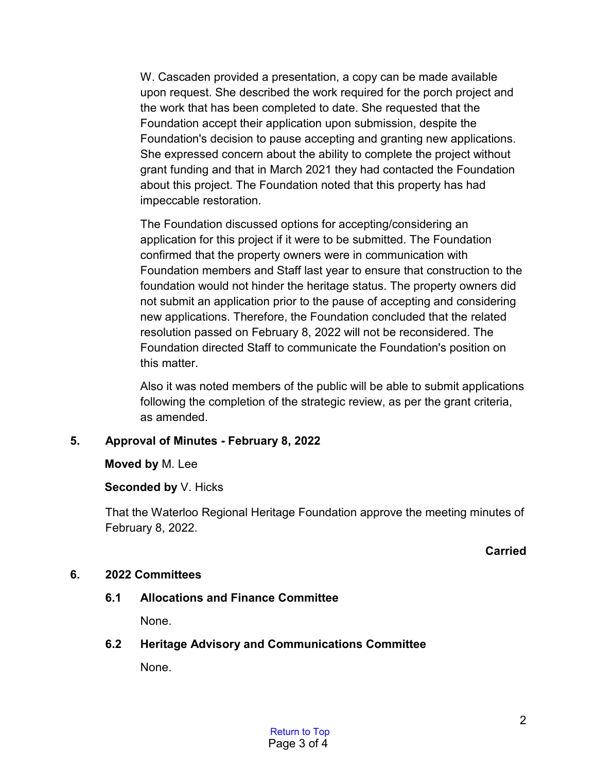W. Cascaden provided a presentation, a copy can be made available upon request. She described the work required for the porch project and the work that has been completed to date. She requested that the Foundation accept their application upon submission, despite the Foundation's decision to pause accepting and granting new applications. She expressed concern about the ability to complete the project without grant funding and that in March 2021 they had contacted the Foundation about this project. The Foundation noted that this property has had impeccable restoration.

The Foundation discussed options for accepting/considering an application for this project if it were to be submitted. The Foundation confirmed that the property owners were in communication with Foundation members and Staff last year to ensure that construction to the foundation would not hinder the heritage status. The property owners did not submit an application prior to the pause of accepting and considering new applications. Therefore, the Foundation concluded that the related resolution passed on February 8, 2022 will not be reconsidered. The Foundation directed Staff to communicate the Foundation's position on this matter.

Also it was noted members of the public will be able to submit applications following the completion of the strategic review, as per the grant criteria, as amended.

## **5. Approval of Minutes - February 8, 2022**

**Moved by** M. Lee

## **Seconded by** V. Hicks

That the Waterloo Regional Heritage Foundation approve the meeting minutes of February 8, 2022.

## **Carried**

## **6. 2022 Committees**

## **6.1 Allocations and Finance Committee**

None.

## **6.2 Heritage Advisory and Communications Committee**

None.